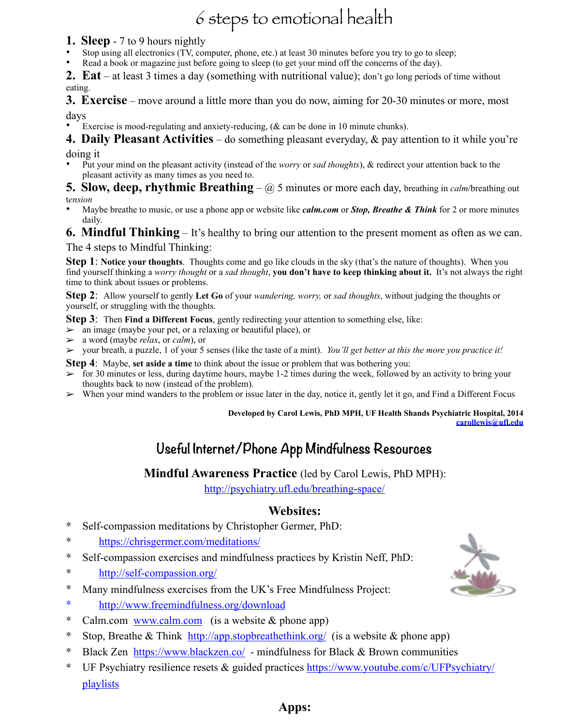# 6 steps to emotional health

### **1. Sleep** - 7 to 9 hours nightly

- Stop using all electronics (TV, computer, phone, etc.) at least 30 minutes before you try to go to sleep;
- Read a book or magazine just before going to sleep (to get your mind off the concerns of the day).

**2. Eat** – at least 3 times a day (something with nutritional value); don't go long periods of time without eating.

**3. Exercise** – move around a little more than you do now, aiming for 20-30 minutes or more, most days

Exercise is mood-regulating and anxiety-reducing, (& can be done in 10 minute chunks).

**4. Daily Pleasant Activities** – do something pleasant everyday, & pay attention to it while you're doing it

• Put your mind on the pleasant activity (instead of the *worry* or *sad thoughts*), & redirect your attention back to the pleasant activity as many times as you need to.

**5. Slow, deep, rhythmic Breathing** – @ 5 minutes or more each day, breathing in *calm*/breathing out t*ension*

• Maybe breathe to music, or use a phone app or website like *calm.com* or *Stop, Breathe & Think* for 2 or more minutes daily.

## **6. Mindful Thinking** – It's healthy to bring our attention to the present moment as often as we can.

The 4 steps to Mindful Thinking:

**Step 1**: **Notice your thoughts**. Thoughts come and go like clouds in the sky (that's the nature of thoughts). When you find yourself thinking a *worry thought* or a *sad thought*, **you don't have to keep thinking about it.** It's not always the right time to think about issues or problems.

**Step 2**: Allow yourself to gently **Let Go** of your *wandering, worry,* or *sad thoughts*, without judging the thoughts or yourself, or struggling with the thoughts.

**Step 3**: Then **Find a Different Focus**, gently redirecting your attention to something else, like:

- $\geq$  an image (maybe your pet, or a relaxing or beautiful place), or
- ➢ a word (maybe *relax*, or *calm*), or
- ➢ your breath, a puzzle, 1 of your 5 senses (like the taste of a mint). *You'll get better at this the more you practice it!*

**Step 4**: Maybe, **set aside a time** to think about the issue or problem that was bothering you:

- $\geq$  for 30 minutes or less, during daytime hours, maybe 1-2 times during the week, followed by an activity to bring your thoughts back to now (instead of the problem).
- When your mind wanders to the problem or issue later in the day, notice it, gently let it go, and Find a Different Focus

#### **Developed by Carol Lewis, PhD MPH, UF Health Shands Psychiatric Hospital, 2014 [carollewis@ufl.edu](mailto:carollewis@ufl.edu)**

## **Useful Internet/Phone App Mindfulness Resources**

## **Mindful Awareness Practice** (led by Carol Lewis, PhD MPH):

<http://psychiatry.ufl.edu/breathing-space/>

## **Websites:**

- ∗ Self-compassion meditations by Christopher Germer, PhD:
- ∗ <https://chrisgermer.com/meditations/>
- ∗ Self-compassion exercises and mindfulness practices by Kristin Neff, PhD:
- ∗ <http://self-compassion.org/>
- ∗ Many mindfulness exercises from the UK's Free Mindfulness Project:
- ∗ <http://www.freemindfulness.org/download>
- ∗ Calm.com [www.calm.com](http://www.calm.com) (is a website & phone app)
- ∗ Stop, Breathe & Think <http://app.stopbreathethink.org/> (is a website & phone app)
- ∗ Black Zen <https://www.blackzen.co/> mindfulness for Black & Brown communities
- ∗ [UF Psychiatry resilience resets & guided practices https://www.youtube.com/c/UFPsychiatry/](https://www.youtube.com/c/UFPsychiatry/playlists) playlists



## **Apps:**